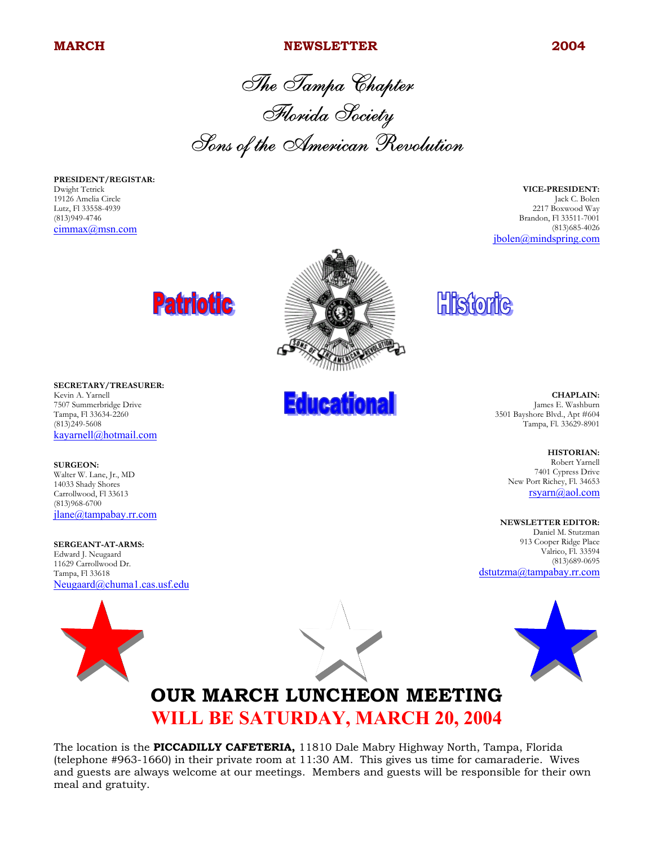#### **MARCH 2004 NEWSLETTER** 2004

The Tampa Chapter Florida Society Sons of the American Revolution

**PRESIDENT/REGISTAR:** Dwight Tetrick 19126 Amelia Circle Lutz, Fl 33558-4939 (813)949-4746 cimmax@msn.com

**VICE-PRESIDENT:** Jack C. Bolen 2217 Boxwood Way Brandon, Fl 33511-7001 (813)685-4026 jbolen@mindspring.com





**SURGEON:** Walter W. Lane, Jr., MD 14033 Shady Shores Carrollwood, Fl 33613 (813)968-6700 jlane@tampabay.rr.com

**SERGEANT-AT-ARMS:** Edward J. Neugaard 11629 Carrollwood Dr. Tampa, Fl 33618 Neugaard@chuma1.cas.usf.edu





**Educational** 

**Historic** 

**CHAPLAIN:** James E. Washburn 3501 Bayshore Blvd., Apt #604 Tampa, Fl. 33629-8901

> **HISTORIAN:** Robert Yarnell 7401 Cypress Drive

New Port Richey, Fl. 34653 rsyarn@aol.com

**NEWSLETTER EDITOR:**

Daniel M. Stutzman 913 Cooper Ridge Place Valrico, Fl. 33594 (813)689-0695 dstutzma@tampabay.rr.com



## **OUR MARCH LUNCHEON MEETING WILL BE SATURDAY, MARCH 20, 2004**

The location is the **PICCADILLY CAFETERIA,** 11810 Dale Mabry Highway North, Tampa, Florida (telephone #963-1660) in their private room at 11:30 AM. This gives us time for camaraderie. Wives and guests are always welcome at our meetings. Members and guests will be responsible for their own meal and gratuity.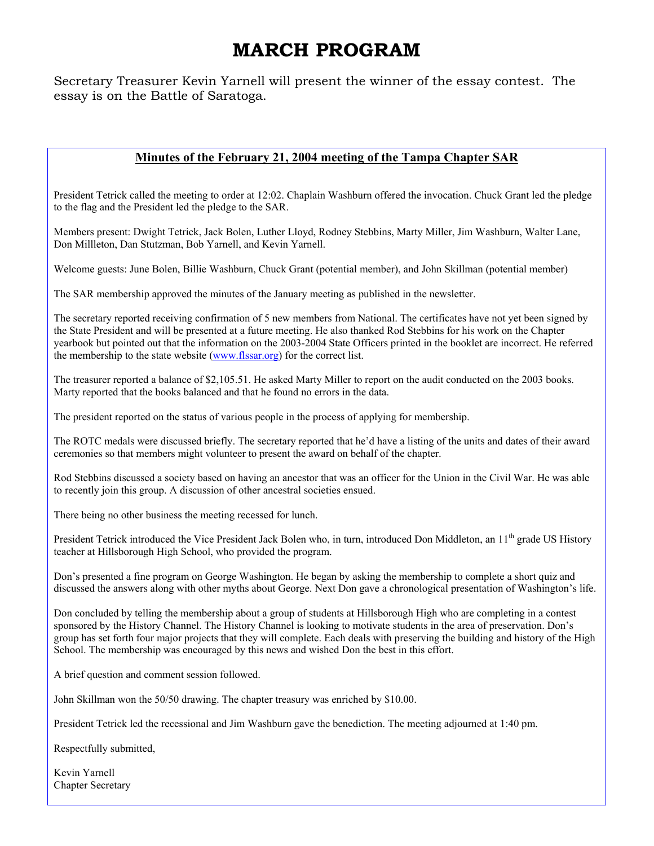# **MARCH PROGRAM**

Secretary Treasurer Kevin Yarnell will present the winner of the essay contest. The essay is on the Battle of Saratoga.

#### **Minutes of the February 21, 2004 meeting of the Tampa Chapter SAR**

President Tetrick called the meeting to order at 12:02. Chaplain Washburn offered the invocation. Chuck Grant led the pledge to the flag and the President led the pledge to the SAR.

Members present: Dwight Tetrick, Jack Bolen, Luther Lloyd, Rodney Stebbins, Marty Miller, Jim Washburn, Walter Lane, Don Millleton, Dan Stutzman, Bob Yarnell, and Kevin Yarnell.

Welcome guests: June Bolen, Billie Washburn, Chuck Grant (potential member), and John Skillman (potential member)

The SAR membership approved the minutes of the January meeting as published in the newsletter.

The secretary reported receiving confirmation of 5 new members from National. The certificates have not yet been signed by the State President and will be presented at a future meeting. He also thanked Rod Stebbins for his work on the Chapter yearbook but pointed out that the information on the 2003-2004 State Officers printed in the booklet are incorrect. He referred the membership to the state website (www.flssar.org) for the correct list.

The treasurer reported a balance of \$2,105.51. He asked Marty Miller to report on the audit conducted on the 2003 books. Marty reported that the books balanced and that he found no errors in the data.

The president reported on the status of various people in the process of applying for membership.

The ROTC medals were discussed briefly. The secretary reported that he'd have a listing of the units and dates of their award ceremonies so that members might volunteer to present the award on behalf of the chapter.

Rod Stebbins discussed a society based on having an ancestor that was an officer for the Union in the Civil War. He was able to recently join this group. A discussion of other ancestral societies ensued.

There being no other business the meeting recessed for lunch.

President Tetrick introduced the Vice President Jack Bolen who, in turn, introduced Don Middleton, an 11<sup>th</sup> grade US History teacher at Hillsborough High School, who provided the program.

Don's presented a fine program on George Washington. He began by asking the membership to complete a short quiz and discussed the answers along with other myths about George. Next Don gave a chronological presentation of Washington's life.

Don concluded by telling the membership about a group of students at Hillsborough High who are completing in a contest sponsored by the History Channel. The History Channel is looking to motivate students in the area of preservation. Don's group has set forth four major projects that they will complete. Each deals with preserving the building and history of the High School. The membership was encouraged by this news and wished Don the best in this effort.

A brief question and comment session followed.

John Skillman won the 50/50 drawing. The chapter treasury was enriched by \$10.00.

President Tetrick led the recessional and Jim Washburn gave the benediction. The meeting adjourned at 1:40 pm.

Respectfully submitted,

Kevin Yarnell Chapter Secretary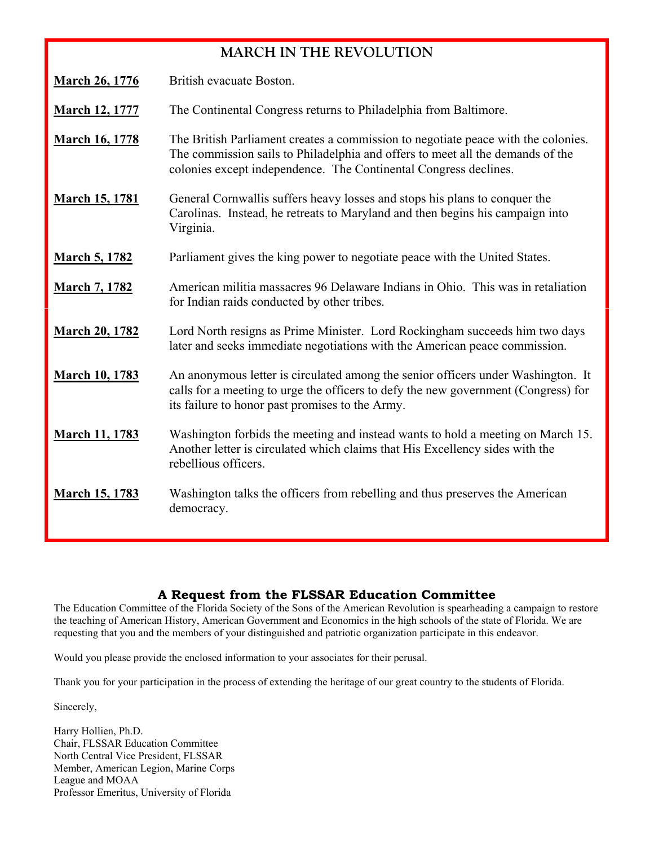### **MARCH IN THE REVOLUTION**

**March 26, 1776** British evacuate Boston.

**March 12, 1777** The Continental Congress returns to Philadelphia from Baltimore.

- **March 16, 1778** The British Parliament creates a commission to negotiate peace with the colonies. The commission sails to Philadelphia and offers to meet all the demands of the colonies except independence. The Continental Congress declines.
- **March 15, 1781** General Cornwallis suffers heavy losses and stops his plans to conquer the Carolinas. Instead, he retreats to Maryland and then begins his campaign into Virginia.
- **March 5, 1782** Parliament gives the king power to negotiate peace with the United States.
- **March 7, 1782** American militia massacres 96 Delaware Indians in Ohio. This was in retaliation for Indian raids conducted by other tribes.
- **March 20, 1782** Lord North resigns as Prime Minister. Lord Rockingham succeeds him two days later and seeks immediate negotiations with the American peace commission.
- **March 10, 1783** An anonymous letter is circulated among the senior officers under Washington. It calls for a meeting to urge the officers to defy the new government (Congress) for its failure to honor past promises to the Army.
- **March 11, 1783** Washington forbids the meeting and instead wants to hold a meeting on March 15. Another letter is circulated which claims that His Excellency sides with the rebellious officers.
- **March 15, 1783** Washington talks the officers from rebelling and thus preserves the American democracy.

### **A Request from the FLSSAR Education Committee**

The Education Committee of the Florida Society of the Sons of the American Revolution is spearheading a campaign to restore the teaching of American History, American Government and Economics in the high schools of the state of Florida. We are requesting that you and the members of your distinguished and patriotic organization participate in this endeavor.

Would you please provide the enclosed information to your associates for their perusal.

Thank you for your participation in the process of extending the heritage of our great country to the students of Florida.

Sincerely,

Harry Hollien, Ph.D. Chair, FLSSAR Education Committee North Central Vice President, FLSSAR Member, American Legion, Marine Corps League and MOAA Professor Emeritus, University of Florida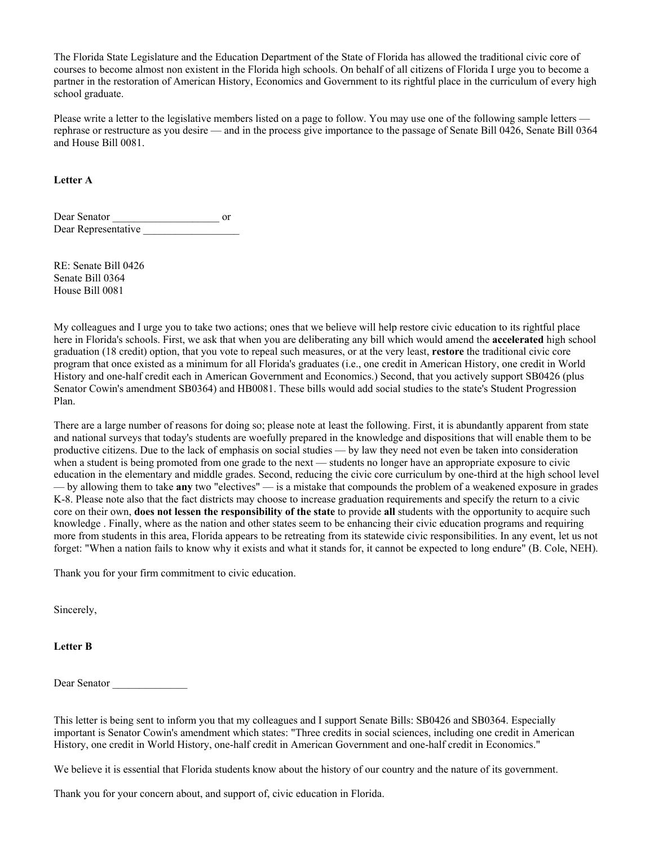The Florida State Legislature and the Education Department of the State of Florida has allowed the traditional civic core of courses to become almost non existent in the Florida high schools. On behalf of all citizens of Florida I urge you to become a partner in the restoration of American History, Economics and Government to its rightful place in the curriculum of every high school graduate.

Please write a letter to the legislative members listed on a page to follow. You may use one of the following sample letters rephrase or restructure as you desire — and in the process give importance to the passage of Senate Bill 0426, Senate Bill 0364 and House Bill 0081.

**Letter A**

Dear Senator \_\_\_\_\_\_\_\_\_\_\_\_\_\_\_\_\_\_\_\_ or Dear Representative

RE: Senate Bill 0426 Senate Bill 0364 House Bill 0081

My colleagues and I urge you to take two actions; ones that we believe will help restore civic education to its rightful place here in Florida's schools. First, we ask that when you are deliberating any bill which would amend the **accelerated** high school graduation (18 credit) option, that you vote to repeal such measures, or at the very least, **restore** the traditional civic core program that once existed as a minimum for all Florida's graduates (i.e., one credit in American History, one credit in World History and one-half credit each in American Government and Economics.) Second, that you actively support SB0426 (plus Senator Cowin's amendment SB0364) and HB0081. These bills would add social studies to the state's Student Progression Plan.

There are a large number of reasons for doing so; please note at least the following. First, it is abundantly apparent from state and national surveys that today's students are woefully prepared in the knowledge and dispositions that will enable them to be productive citizens. Due to the lack of emphasis on social studies — by law they need not even be taken into consideration when a student is being promoted from one grade to the next — students no longer have an appropriate exposure to civic education in the elementary and middle grades. Second, reducing the civic core curriculum by one-third at the high school level — by allowing them to take **any** two "electives" — is a mistake that compounds the problem of a weakened exposure in grades K-8. Please note also that the fact districts may choose to increase graduation requirements and specify the return to a civic core on their own, **does not lessen the responsibility of the state** to provide **all** students with the opportunity to acquire such knowledge . Finally, where as the nation and other states seem to be enhancing their civic education programs and requiring more from students in this area, Florida appears to be retreating from its statewide civic responsibilities. In any event, let us not forget: "When a nation fails to know why it exists and what it stands for, it cannot be expected to long endure" (B. Cole, NEH).

Thank you for your firm commitment to civic education.

Sincerely,

**Letter B**

Dear Senator

This letter is being sent to inform you that my colleagues and I support Senate Bills: SB0426 and SB0364. Especially important is Senator Cowin's amendment which states: "Three credits in social sciences, including one credit in American History, one credit in World History, one-half credit in American Government and one-half credit in Economics."

We believe it is essential that Florida students know about the history of our country and the nature of its government.

Thank you for your concern about, and support of, civic education in Florida.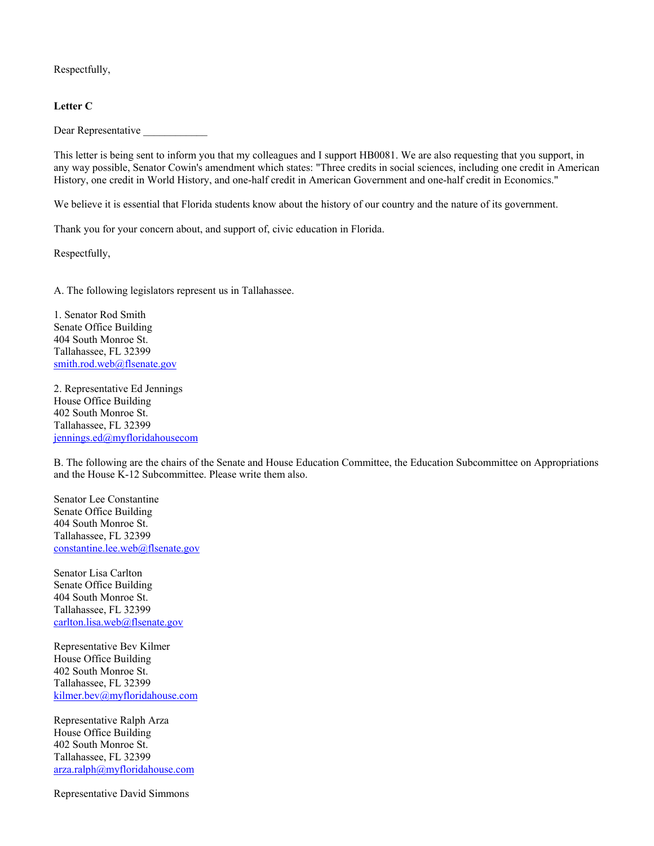Respectfully,

#### **Letter C**

Dear Representative

This letter is being sent to inform you that my colleagues and I support HB0081. We are also requesting that you support, in any way possible, Senator Cowin's amendment which states: "Three credits in social sciences, including one credit in American History, one credit in World History, and one-half credit in American Government and one-half credit in Economics."

We believe it is essential that Florida students know about the history of our country and the nature of its government.

Thank you for your concern about, and support of, civic education in Florida.

Respectfully,

A. The following legislators represent us in Tallahassee.

1. Senator Rod Smith Senate Office Building 404 South Monroe St. Tallahassee, FL 32399 smith.rod.web@flsenate.gov

2. Representative Ed Jennings House Office Building 402 South Monroe St. Tallahassee, FL 32399 jennings.ed@myfloridahousecom

B. The following are the chairs of the Senate and House Education Committee, the Education Subcommittee on Appropriations and the House K-12 Subcommittee. Please write them also.

Senator Lee Constantine Senate Office Building 404 South Monroe St. Tallahassee, FL 32399 constantine.lee.web@flsenate.gov

Senator Lisa Carlton Senate Office Building 404 South Monroe St. Tallahassee, FL 32399 carlton.lisa.web@flsenate.gov

Representative Bev Kilmer House Office Building 402 South Monroe St. Tallahassee, FL 32399 kilmer.bev@myfloridahouse.com

Representative Ralph Arza House Office Building 402 South Monroe St. Tallahassee, FL 32399 arza.ralph@myfloridahouse.com

Representative David Simmons